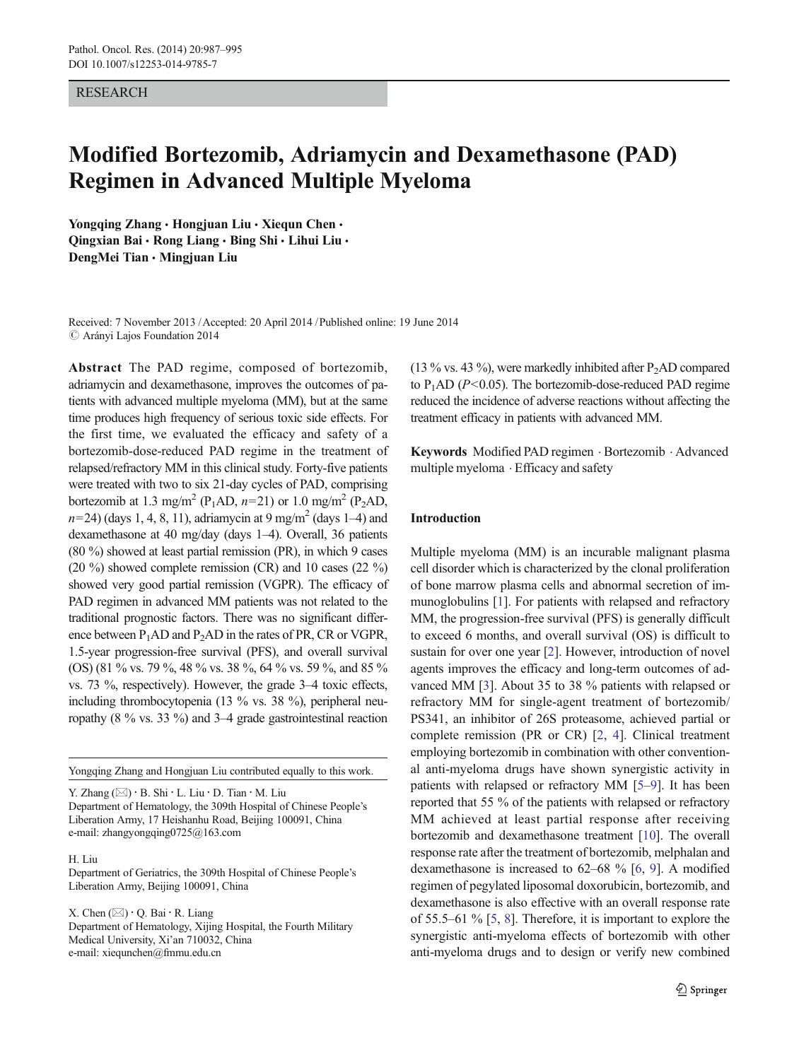#### RESEARCH

# Modified Bortezomib, Adriamycin and Dexamethasone (PAD) Regimen in Advanced Multiple Myeloma

Yongqing Zhang · Hongjuan Liu · Xiequn Chen · Qingxian Bai · Rong Liang · Bing Shi · Lihui Liu · DengMei Tian & Mingjuan Liu

Received: 7 November 2013 /Accepted: 20 April 2014 /Published online: 19 June 2014  $\oslash$  Arányi Lajos Foundation 2014

Abstract The PAD regime, composed of bortezomib, adriamycin and dexamethasone, improves the outcomes of patients with advanced multiple myeloma (MM), but at the same time produces high frequency of serious toxic side effects. For the first time, we evaluated the efficacy and safety of a bortezomib-dose-reduced PAD regime in the treatment of relapsed/refractory MM in this clinical study. Forty-five patients were treated with two to six 21-day cycles of PAD, comprising bortezomib at 1.3 mg/m<sup>2</sup> (P<sub>1</sub>AD,  $n=21$ ) or 1.0 mg/m<sup>2</sup> (P<sub>2</sub>AD,  $n=24$ ) (days 1, 4, 8, 11), adriamycin at 9 mg/m<sup>2</sup> (days 1–4) and dexamethasone at 40 mg/day (days 1–4). Overall, 36 patients (80 %) showed at least partial remission (PR), in which 9 cases (20 %) showed complete remission (CR) and 10 cases (22 %) showed very good partial remission (VGPR). The efficacy of PAD regimen in advanced MM patients was not related to the traditional prognostic factors. There was no significant difference between  $P_1AD$  and  $P_2AD$  in the rates of PR, CR or VGPR, 1.5-year progression-free survival (PFS), and overall survival (OS) (81 % vs. 79 %, 48 % vs. 38 %, 64 % vs. 59 %, and 85 % vs. 73 %, respectively). However, the grade 3–4 toxic effects, including thrombocytopenia (13 % vs. 38 %), peripheral neuropathy (8 % vs. 33 %) and 3–4 grade gastrointestinal reaction

Yongqing Zhang and Hongjuan Liu contributed equally to this work.

Y. Zhang  $(\boxtimes) \cdot B$ . Shi  $\cdot L$ . Liu  $\cdot D$ . Tian  $\cdot M$ . Liu Department of Hematology, the 309th Hospital of Chinese People's Liberation Army, 17 Heishanhu Road, Beijing 100091, China e-mail: zhangyongqing0725@163.com

H. Liu

Department of Geriatrics, the 309th Hospital of Chinese People's Liberation Army, Beijing 100091, China

X. Chen  $(\boxtimes) \cdot Q$ . Bai  $\cdot R$ . Liang Department of Hematology, Xijing Hospital, the Fourth Military Medical University, Xi'an 710032, China e-mail: xiequnchen@fmmu.edu.cn

(13 % vs. 43 %), were markedly inhibited after  $P_2AD$  compared to  $P_1AD$  ( $P \le 0.05$ ). The bortezomib-dose-reduced PAD regime reduced the incidence of adverse reactions without affecting the treatment efficacy in patients with advanced MM.

Keywords Modified PAD regimen . Bortezomib . Advanced multiple myeloma . Efficacy and safety

## Introduction

Multiple myeloma (MM) is an incurable malignant plasma cell disorder which is characterized by the clonal proliferation of bone marrow plasma cells and abnormal secretion of immunoglobulins [[1\]](#page-7-0). For patients with relapsed and refractory MM, the progression-free survival (PFS) is generally difficult to exceed 6 months, and overall survival (OS) is difficult to sustain for over one year [\[2](#page-7-0)]. However, introduction of novel agents improves the efficacy and long-term outcomes of advanced MM [\[3](#page-7-0)]. About 35 to 38 % patients with relapsed or refractory MM for single-agent treatment of bortezomib/ PS341, an inhibitor of 26S proteasome, achieved partial or complete remission (PR or CR) [\[2](#page-7-0), [4\]](#page-7-0). Clinical treatment employing bortezomib in combination with other conventional anti-myeloma drugs have shown synergistic activity in patients with relapsed or refractory MM [\[5](#page-7-0)–[9\]](#page-7-0). It has been reported that 55 % of the patients with relapsed or refractory MM achieved at least partial response after receiving bortezomib and dexamethasone treatment [\[10\]](#page-7-0). The overall response rate after the treatment of bortezomib, melphalan and dexamethasone is increased to 62–68 % [[6](#page-7-0), [9](#page-7-0)]. A modified regimen of pegylated liposomal doxorubicin, bortezomib, and dexamethasone is also effective with an overall response rate of 55.5–61 % [[5,](#page-7-0) [8\]](#page-7-0). Therefore, it is important to explore the synergistic anti-myeloma effects of bortezomib with other anti-myeloma drugs and to design or verify new combined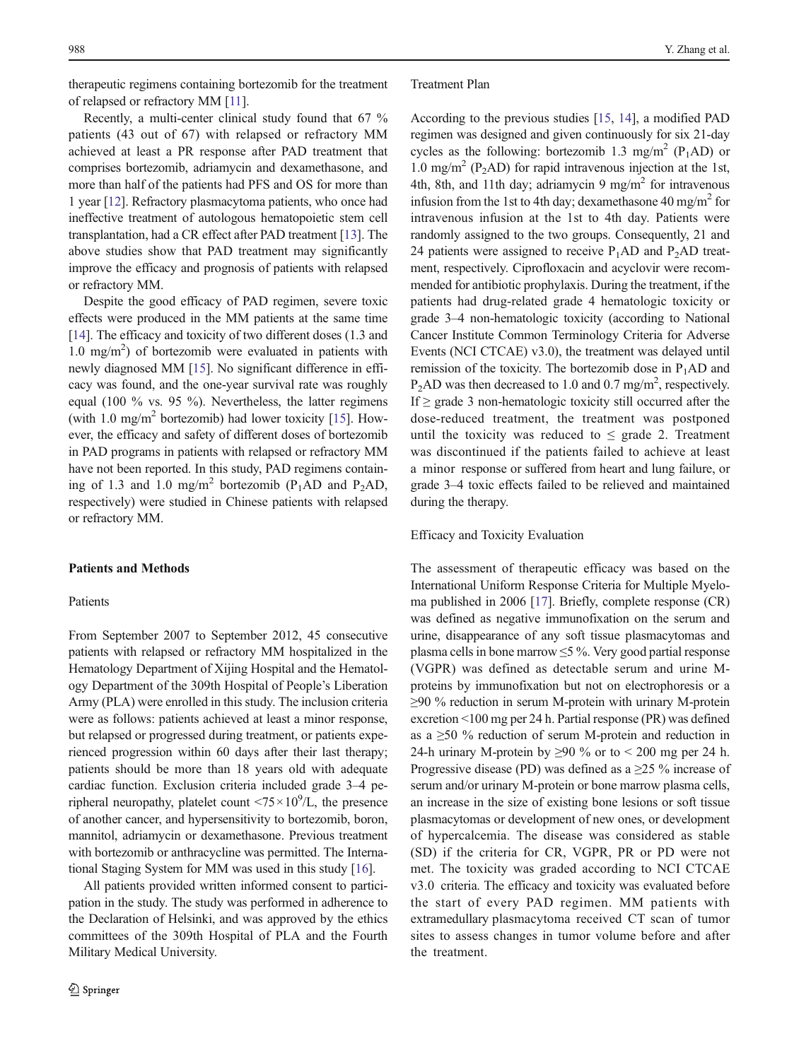therapeutic regimens containing bortezomib for the treatment of relapsed or refractory MM [[11](#page-7-0)].

Recently, a multi-center clinical study found that 67 % patients (43 out of 67) with relapsed or refractory MM achieved at least a PR response after PAD treatment that comprises bortezomib, adriamycin and dexamethasone, and more than half of the patients had PFS and OS for more than 1 year [[12](#page-7-0)]. Refractory plasmacytoma patients, who once had ineffective treatment of autologous hematopoietic stem cell transplantation, had a CR effect after PAD treatment [\[13](#page-7-0)]. The above studies show that PAD treatment may significantly improve the efficacy and prognosis of patients with relapsed or refractory MM.

Despite the good efficacy of PAD regimen, severe toxic effects were produced in the MM patients at the same time [\[14\]](#page-7-0). The efficacy and toxicity of two different doses (1.3 and 1.0 mg/m2 ) of bortezomib were evaluated in patients with newly diagnosed MM [[15\]](#page-7-0). No significant difference in efficacy was found, and the one-year survival rate was roughly equal (100 % vs. 95 %). Nevertheless, the latter regimens (with 1.0 mg/m<sup>2</sup> bortezomib) had lower toxicity [\[15](#page-7-0)]. However, the efficacy and safety of different doses of bortezomib in PAD programs in patients with relapsed or refractory MM have not been reported. In this study, PAD regimens containing of 1.3 and 1.0 mg/m<sup>2</sup> bortezomib (P<sub>1</sub>AD and P<sub>2</sub>AD, respectively) were studied in Chinese patients with relapsed or refractory MM.

## Patients and Methods

### Patients

From September 2007 to September 2012, 45 consecutive patients with relapsed or refractory MM hospitalized in the Hematology Department of Xijing Hospital and the Hematology Department of the 309th Hospital of People's Liberation Army (PLA) were enrolled in this study. The inclusion criteria were as follows: patients achieved at least a minor response, but relapsed or progressed during treatment, or patients experienced progression within 60 days after their last therapy; patients should be more than 18 years old with adequate cardiac function. Exclusion criteria included grade 3–4 peripheral neuropathy, platelet count  $\langle 75 \times 10^9 \rangle L$ , the presence of another cancer, and hypersensitivity to bortezomib, boron, mannitol, adriamycin or dexamethasone. Previous treatment with bortezomib or anthracycline was permitted. The International Staging System for MM was used in this study [[16\]](#page-7-0).

All patients provided written informed consent to participation in the study. The study was performed in adherence to the Declaration of Helsinki, and was approved by the ethics committees of the 309th Hospital of PLA and the Fourth Military Medical University.

#### Treatment Plan

According to the previous studies [[15,](#page-7-0) [14](#page-7-0)], a modified PAD regimen was designed and given continuously for six 21-day cycles as the following: bortezomib 1.3 mg/m<sup>2</sup> (P<sub>1</sub>AD) or 1.0 mg/m<sup>2</sup> (P<sub>2</sub>AD) for rapid intravenous injection at the 1st, 4th, 8th, and 11th day; adriamycin 9 mg/m<sup>2</sup> for intravenous infusion from the 1st to 4th day; dexamethasone 40 mg/m<sup>2</sup> for intravenous infusion at the 1st to 4th day. Patients were randomly assigned to the two groups. Consequently, 21 and 24 patients were assigned to receive  $P_1AD$  and  $P_2AD$  treatment, respectively. Ciprofloxacin and acyclovir were recommended for antibiotic prophylaxis. During the treatment, if the patients had drug-related grade 4 hematologic toxicity or grade 3–4 non-hematologic toxicity (according to National Cancer Institute Common Terminology Criteria for Adverse Events (NCI CTCAE) v3.0), the treatment was delayed until remission of the toxicity. The bortezomib dose in  $P_1AD$  and  $P_2AD$  was then decreased to 1.0 and 0.7 mg/m<sup>2</sup>, respectively. If  $\geq$  grade 3 non-hematologic toxicity still occurred after the dose-reduced treatment, the treatment was postponed until the toxicity was reduced to  $\leq$  grade 2. Treatment was discontinued if the patients failed to achieve at least a minor response or suffered from heart and lung failure, or grade 3–4 toxic effects failed to be relieved and maintained during the therapy.

#### Efficacy and Toxicity Evaluation

The assessment of therapeutic efficacy was based on the International Uniform Response Criteria for Multiple Myeloma published in 2006 [[17](#page-7-0)]. Briefly, complete response (CR) was defined as negative immunofixation on the serum and urine, disappearance of any soft tissue plasmacytomas and plasma cells in bone marrow  $\leq$ 5 %. Very good partial response (VGPR) was defined as detectable serum and urine Mproteins by immunofixation but not on electrophoresis or a ≥90 % reduction in serum M-protein with urinary M-protein excretion <100 mg per 24 h. Partial response (PR) was defined as a ≥50 % reduction of serum M-protein and reduction in 24-h urinary M-protein by  $\geq$ 90 % or to < 200 mg per 24 h. Progressive disease (PD) was defined as a  $\geq$ 25 % increase of serum and/or urinary M-protein or bone marrow plasma cells, an increase in the size of existing bone lesions or soft tissue plasmacytomas or development of new ones, or development of hypercalcemia. The disease was considered as stable (SD) if the criteria for CR, VGPR, PR or PD were not met. The toxicity was graded according to NCI CTCAE v3.0 criteria. The efficacy and toxicity was evaluated before the start of every PAD regimen. MM patients with extramedullary plasmacytoma received CT scan of tumor sites to assess changes in tumor volume before and after the treatment.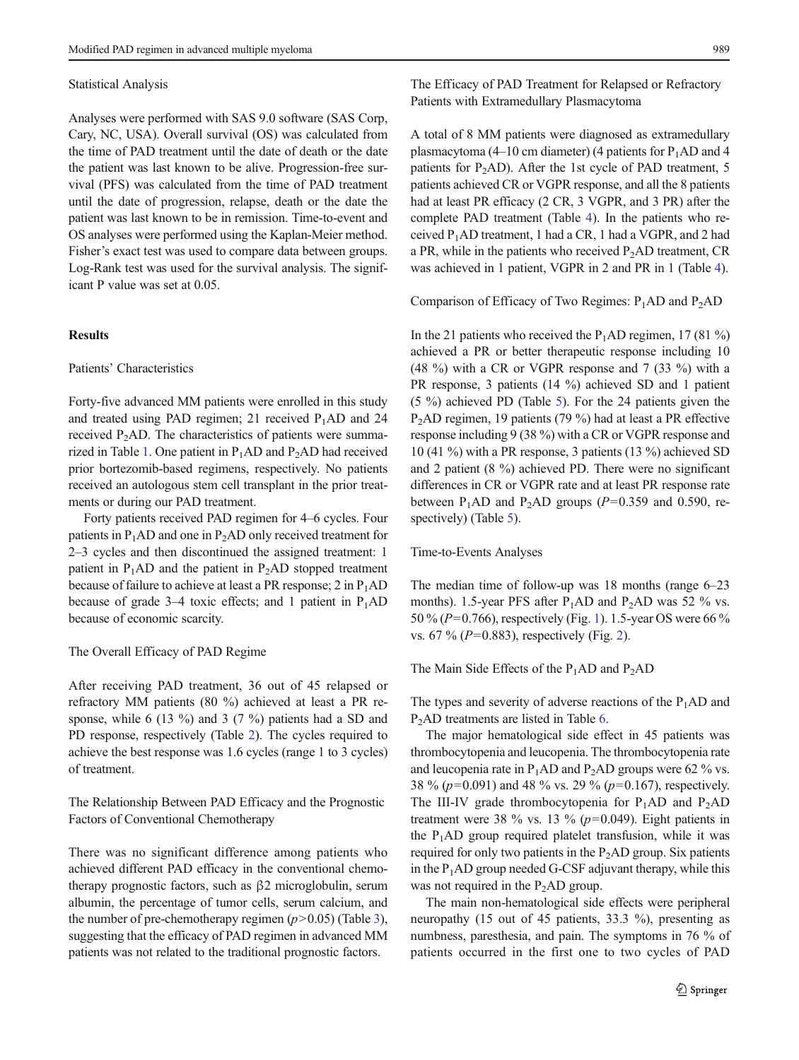#### Statistical Analysis

Analyses were performed with SAS 9.0 software (SAS Corp, Cary, NC, USA). Overall survival (OS) was calculated from the time of PAD treatment until the date of death or the date the patient was last known to be alive. Progression-free survival (PFS) was calculated from the time of PAD treatment until the date of progression, relapse, death or the date the patient was last known to be in remission. Time-to-event and OS analyses were performed using the Kaplan-Meier method. Fisher's exact test was used to compare data between groups. Log-Rank test was used for the survival analysis. The significant P value was set at 0.05.

## **Results**

### Patients' Characteristics

Forty-five advanced MM patients were enrolled in this study and treated using PAD regimen; 21 received  $P_1AD$  and 24 received  $P_2AD$ . The characteristics of patients were summa-rized in Table [1.](#page-3-0) One patient in  $P_1AD$  and  $P_2AD$  had received prior bortezomib-based regimens, respectively. No patients received an autologous stem cell transplant in the prior treatments or during our PAD treatment.

Forty patients received PAD regimen for 4–6 cycles. Four patients in  $P_1AD$  and one in  $P_2AD$  only received treatment for 2–3 cycles and then discontinued the assigned treatment: 1 patient in  $P_1AD$  and the patient in  $P_2AD$  stopped treatment because of failure to achieve at least a PR response; 2 in  $P_1AD$ because of grade 3–4 toxic effects; and 1 patient in  $P_1AD$ because of economic scarcity.

#### The Overall Efficacy of PAD Regime

After receiving PAD treatment, 36 out of 45 relapsed or refractory MM patients (80 %) achieved at least a PR response, while 6 (13 %) and 3 (7 %) patients had a SD and PD response, respectively (Table [2](#page-3-0)). The cycles required to achieve the best response was 1.6 cycles (range 1 to 3 cycles) of treatment.

The Relationship Between PAD Efficacy and the Prognostic Factors of Conventional Chemotherapy

There was no significant difference among patients who achieved different PAD efficacy in the conventional chemotherapy prognostic factors, such as β2 microglobulin, serum albumin, the percentage of tumor cells, serum calcium, and the number of pre-chemotherapy regimen  $(p>0.05)$  (Table [3\)](#page-4-0), suggesting that the efficacy of PAD regimen in advanced MM patients was not related to the traditional prognostic factors.

The Efficacy of PAD Treatment for Relapsed or Refractory Patients with Extramedullary Plasmacytoma

A total of 8 MM patients were diagnosed as extramedullary plasmacytoma (4–10 cm diameter) (4 patients for  $P_1AD$  and 4 patients for P2AD). After the 1st cycle of PAD treatment, 5 patients achieved CR or VGPR response, and all the 8 patients had at least PR efficacy (2 CR, 3 VGPR, and 3 PR) after the complete PAD treatment (Table [4\)](#page-4-0). In the patients who received P1AD treatment, 1 had a CR, 1 had a VGPR, and 2 had a PR, while in the patients who received  $P_2AD$  treatment, CR was achieved in 1 patient, VGPR in 2 and PR in 1 (Table [4\)](#page-4-0).

Comparison of Efficacy of Two Regimes:  $P_1AD$  and  $P_2AD$ 

In the 21 patients who received the  $P_1AD$  regimen, 17 (81 %) achieved a PR or better therapeutic response including 10 (48 %) with a CR or VGPR response and 7 (33 %) with a PR response, 3 patients (14 %) achieved SD and 1 patient (5 %) achieved PD (Table [5](#page-5-0)). For the 24 patients given the P2AD regimen, 19 patients (79 %) had at least a PR effective response including 9 (38 %) with a CR or VGPR response and 10 (41 %) with a PR response, 3 patients (13 %) achieved SD and 2 patient (8 %) achieved PD. There were no significant differences in CR or VGPR rate and at least PR response rate between P<sub>1</sub>AD and P<sub>2</sub>AD groups ( $P=0.359$  and 0.590, respectively) (Table [5](#page-5-0)).

#### Time-to-Events Analyses

The median time of follow-up was 18 months (range 6–23 months). 1.5-year PFS after  $P_1AD$  and  $P_2AD$  was 52 % vs. 50 % (P=0.766), respectively (Fig. [1\)](#page-5-0). 1.5-year OS were 66 % vs. 67 % ( $P=0.883$ ), respectively (Fig. [2\)](#page-5-0).

#### The Main Side Effects of the  $P_1AD$  and  $P_2AD$

The types and severity of adverse reactions of the  $P_1AD$  and P<sub>2</sub>AD treatments are listed in Table [6.](#page-6-0)

The major hematological side effect in 45 patients was thrombocytopenia and leucopenia. The thrombocytopenia rate and leucopenia rate in  $P_1AD$  and  $P_2AD$  groups were 62 % vs. 38 % (p=0.091) and 48 % vs. 29 % (p=0.167), respectively. The III-IV grade thrombocytopenia for  $P_1AD$  and  $P_2AD$ treatment were 38 % vs. 13 % ( $p=0.049$ ). Eight patients in the  $P_1AD$  group required platelet transfusion, while it was required for only two patients in the  $P_2AD$  group. Six patients in the  $P_1AD$  group needed G-CSF adjuvant therapy, while this was not required in the  $P_2AD$  group.

The main non-hematological side effects were peripheral neuropathy (15 out of 45 patients, 33.3 %), presenting as numbness, paresthesia, and pain. The symptoms in 76 % of patients occurred in the first one to two cycles of PAD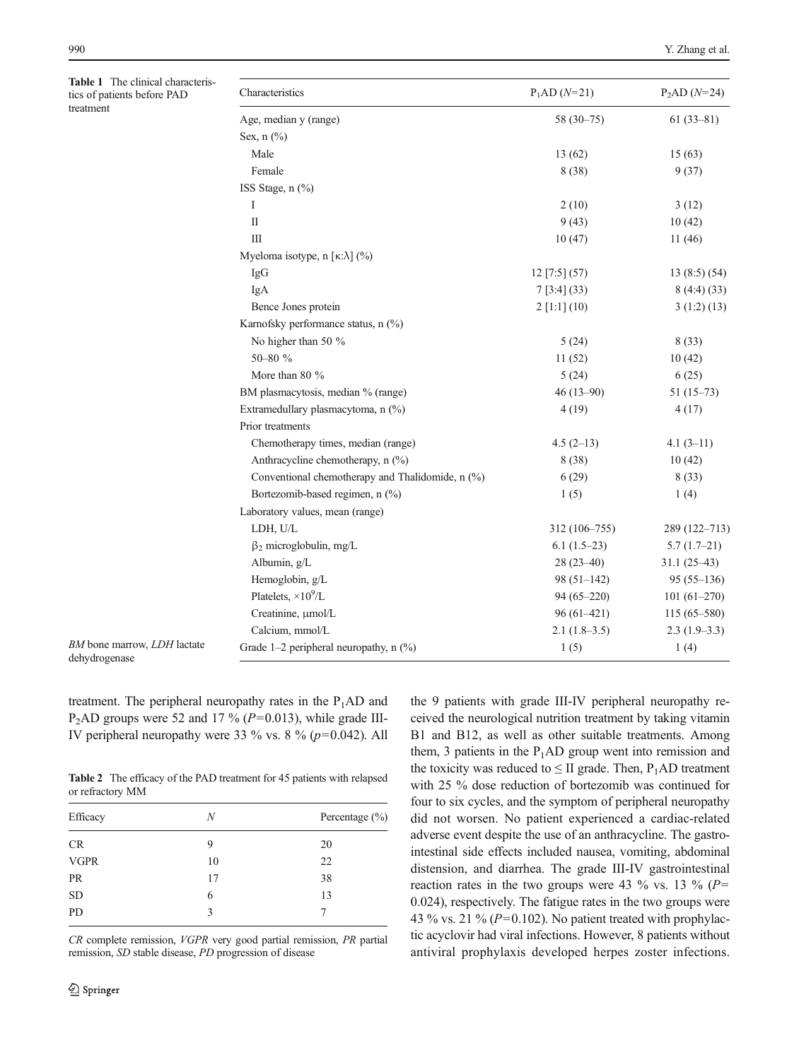<span id="page-3-0"></span>Table 1 The clinical characteri tics of patients before PAD treatment

| Characteristics                                            | $P_1AD(N=21)$   | $P_2AD(N=24)$   |
|------------------------------------------------------------|-----------------|-----------------|
| Age, median y (range)                                      | $58(30-75)$     | $61(33-81)$     |
| Sex, $n$ $\left(\frac{9}{6}\right)$                        |                 |                 |
| Male                                                       | 13(62)          | 15(63)          |
| Female                                                     | 8 (38)          | 9(37)           |
| ISS Stage, n (%)                                           |                 |                 |
| I                                                          | 2(10)           | 3(12)           |
| $\mathbf{I}$                                               | 9(43)           | 10(42)          |
| Ш                                                          | 10(47)          | 11(46)          |
| Myeloma isotype, n [ $\kappa:\lambda$ ] (%)                |                 |                 |
| IgG                                                        | $12$ [7:5] (57) | 13(8:5)(54)     |
| IgA                                                        | 7[3:4](33)      | 8(4:4)(33)      |
| Bence Jones protein                                        | $2$ [1:1] (10)  | 3(1:2)(13)      |
| Karnofsky performance status, n (%)                        |                 |                 |
| No higher than 50 %                                        | 5(24)           | 8(33)           |
| 50-80 %                                                    | 11(52)          | 10(42)          |
| More than 80 %                                             | 5(24)           | 6(25)           |
| BM plasmacytosis, median % (range)                         | $46(13-90)$     | $51(15-73)$     |
| Extramedullary plasmacytoma, n (%)                         | 4(19)           | 4(17)           |
| Prior treatments                                           |                 |                 |
| Chemotherapy times, median (range)                         | $4.5(2-13)$     | $4.1(3-11)$     |
| Anthracycline chemotherapy, $n$ $\left(\frac{9}{0}\right)$ | 8(38)           | 10(42)          |
| Conventional chemotherapy and Thalidomide, n (%)           | 6(29)           | 8(33)           |
| Bortezomib-based regimen, n (%)                            | 1(5)            | 1(4)            |
| Laboratory values, mean (range)                            |                 |                 |
| LDH, U/L                                                   | 312 (106-755)   | 289 (122-713)   |
| $\beta_2$ microglobulin, mg/L                              | $6.1(1.5-23)$   | $5.7(1.7-21)$   |
| Albumin, g/L                                               | $28(23-40)$     | $31.1(25-43)$   |
| Hemoglobin, g/L                                            | $98(51-142)$    | $95(55-136)$    |
| Platelets, $\times 10^9$ /L                                | $94(65 - 220)$  | $101(61-270)$   |
| Creatinine, µmol/L                                         | 96 (61-421)     | $115(65 - 580)$ |
| Calcium, mmol/L                                            | $2.1(1.8-3.5)$  | $2.3(1.9-3.3)$  |
| Grade $1-2$ peripheral neuropathy, n $(\%)$                | 1(5)            | 1(4)            |

dehydrogenase

BM bone marrow, LDH lactate

treatment. The peripheral neuropathy rates in the  $P_1AD$  and P<sub>2</sub>AD groups were 52 and 17 % ( $P=0.013$ ), while grade III-IV peripheral neuropathy were 33 % vs. 8 % ( $p=0.042$ ). All

Table 2 The efficacy of the PAD treatment for 45 patients with relapsed or refractory MM

| Efficacy    | N  | Percentage $(\% )$ |  |  |
|-------------|----|--------------------|--|--|
| <b>CR</b>   | 9  | 20                 |  |  |
| <b>VGPR</b> | 10 | 22                 |  |  |
| PR          | 17 | 38                 |  |  |
| <b>SD</b>   | 6  | 13                 |  |  |
| PD          | 3  |                    |  |  |
|             |    |                    |  |  |

CR complete remission, VGPR very good partial remission, PR partial remission, SD stable disease, PD progression of disease

the 9 patients with grade III-IV peripheral neuropathy received the neurological nutrition treatment by taking vitamin B1 and B12, as well as other suitable treatments. Among them, 3 patients in the  $P_1AD$  group went into remission and the toxicity was reduced to  $\leq$  II grade. Then, P<sub>1</sub>AD treatment with 25 % dose reduction of bortezomib was continued for four to six cycles, and the symptom of peripheral neuropathy did not worsen. No patient experienced a cardiac-related adverse event despite the use of an anthracycline. The gastrointestinal side effects included nausea, vomiting, abdominal distension, and diarrhea. The grade III-IV gastrointestinal reaction rates in the two groups were 43 % vs. 13 % ( $P=$ 0.024), respectively. The fatigue rates in the two groups were 43 % vs. 21 % ( $P=0.102$ ). No patient treated with prophylactic acyclovir had viral infections. However, 8 patients without antiviral prophylaxis developed herpes zoster infections.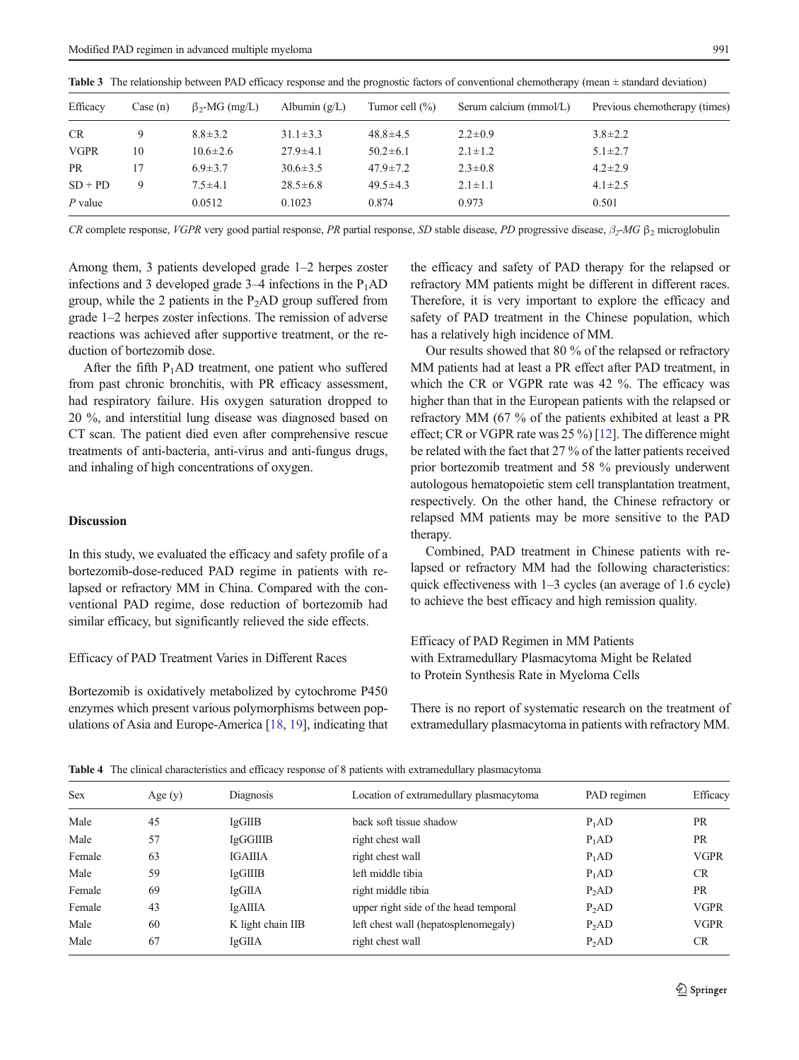| Efficacy    | Case (n) | $\beta_{2}$ -MG (mg/L) | Albumin $(g/L)$ | Tumor cell $(\% )$ | Serum calcium (mmol/L) | Previous chemotherapy (times) |
|-------------|----------|------------------------|-----------------|--------------------|------------------------|-------------------------------|
| <b>CR</b>   | 9        | $8.8 \pm 3.2$          | $31.1 \pm 3.3$  | $48.8 \pm 4.5$     | $2.2 \pm 0.9$          | $3.8 \pm 2.2$                 |
| <b>VGPR</b> | 10       | $10.6 \pm 2.6$         | $27.9 \pm 4.1$  | $50.2 \pm 6.1$     | $2.1 \pm 1.2$          | $5.1 \pm 2.7$                 |
| <b>PR</b>   | 17       | $6.9 \pm 3.7$          | $30.6 \pm 3.5$  | $47.9 \pm 7.2$     | $2.3 \pm 0.8$          | $4.2 \pm 2.9$                 |
| $SD + PD$   | 9        | $7.5 \pm 4.1$          | $28.5 \pm 6.8$  | $49.5 \pm 4.3$     | $2.1 \pm 1.1$          | $4.1 \pm 2.5$                 |
| $P$ value   |          | 0.0512                 | 0.1023          | 0.874              | 0.973                  | 0.501                         |

<span id="page-4-0"></span>Table 3 The relationship between PAD efficacy response and the prognostic factors of conventional chemotherapy (mean  $\pm$  standard deviation)

CR complete response, VGPR very good partial response, PR partial response, SD stable disease, PD progressive disease,  $\beta_2$ -MG  $\beta_2$  microglobulin

Among them, 3 patients developed grade 1–2 herpes zoster infections and 3 developed grade  $3-4$  infections in the  $P_1AD$ group, while the 2 patients in the  $P_2AD$  group suffered from grade 1–2 herpes zoster infections. The remission of adverse reactions was achieved after supportive treatment, or the reduction of bortezomib dose.

After the fifth  $P_1AD$  treatment, one patient who suffered from past chronic bronchitis, with PR efficacy assessment, had respiratory failure. His oxygen saturation dropped to 20 %, and interstitial lung disease was diagnosed based on CT scan. The patient died even after comprehensive rescue treatments of anti-bacteria, anti-virus and anti-fungus drugs, and inhaling of high concentrations of oxygen.

## Discussion

In this study, we evaluated the efficacy and safety profile of a bortezomib-dose-reduced PAD regime in patients with relapsed or refractory MM in China. Compared with the conventional PAD regime, dose reduction of bortezomib had similar efficacy, but significantly relieved the side effects.

## Efficacy of PAD Treatment Varies in Different Races

Bortezomib is oxidatively metabolized by cytochrome P450 enzymes which present various polymorphisms between populations of Asia and Europe-America [\[18,](#page-7-0) [19\]](#page-7-0), indicating that the efficacy and safety of PAD therapy for the relapsed or refractory MM patients might be different in different races. Therefore, it is very important to explore the efficacy and safety of PAD treatment in the Chinese population, which has a relatively high incidence of MM.

Our results showed that 80 % of the relapsed or refractory MM patients had at least a PR effect after PAD treatment, in which the CR or VGPR rate was 42 %. The efficacy was higher than that in the European patients with the relapsed or refractory MM (67 % of the patients exhibited at least a PR effect; CR or VGPR rate was 25 %) [[12](#page-7-0)]. The difference might be related with the fact that 27 % of the latter patients received prior bortezomib treatment and 58 % previously underwent autologous hematopoietic stem cell transplantation treatment, respectively. On the other hand, the Chinese refractory or relapsed MM patients may be more sensitive to the PAD therapy.

Combined, PAD treatment in Chinese patients with relapsed or refractory MM had the following characteristics: quick effectiveness with 1–3 cycles (an average of 1.6 cycle) to achieve the best efficacy and high remission quality.

## Efficacy of PAD Regimen in MM Patients with Extramedullary Plasmacytoma Might be Related to Protein Synthesis Rate in Myeloma Cells

There is no report of systematic research on the treatment of extramedullary plasmacytoma in patients with refractory MM.

| <b>Sex</b> | Age $(y)$ | Diagnosis         | Location of extramedullary plasmacytoma | PAD regimen       | Efficacy    |
|------------|-----------|-------------------|-----------------------------------------|-------------------|-------------|
| Male       | 45        | <b>IgGIIB</b>     | back soft tissue shadow                 | P <sub>1</sub> AD | <b>PR</b>   |
| Male       | 57        | IgGGIIIB          | right chest wall                        | $P_1AD$           | PR          |
| Female     | 63        | <b>IGAIIIA</b>    | right chest wall                        | $P_1AD$           | <b>VGPR</b> |
| Male       | 59        | <b>IgGIIIB</b>    | left middle tibia                       | $P_1AD$           | <b>CR</b>   |
| Female     | 69        | <b>IgGIIA</b>     | right middle tibia                      | $P_2AD$           | PR          |
| Female     | 43        | IgAIIIA           | upper right side of the head temporal   | $P_2AD$           | <b>VGPR</b> |
| Male       | 60        | K light chain IIB | left chest wall (hepatosplenomegaly)    | $P_2AD$           | <b>VGPR</b> |
| Male       | 67        | <b>IgGIIA</b>     | right chest wall                        | P <sub>2</sub> AD | <b>CR</b>   |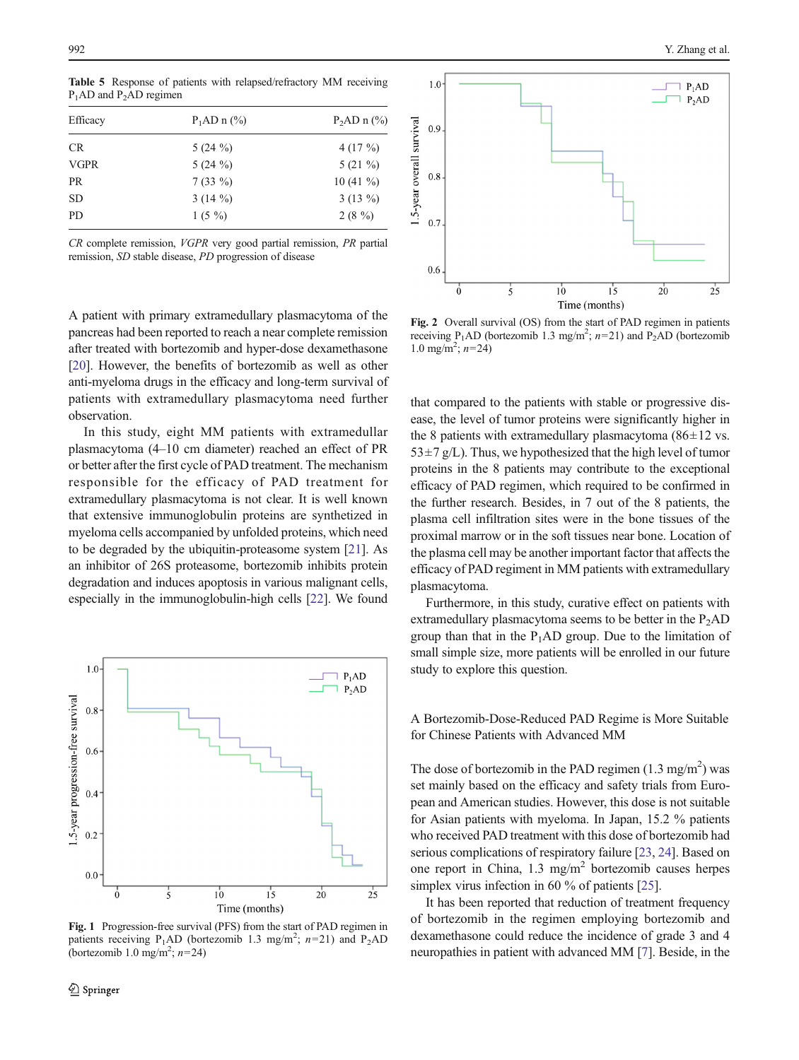| Efficacy    | $P_1AD \n 1 (%)$ | $P_2AD \text{ n } (\%)$ |
|-------------|------------------|-------------------------|
| <b>CR</b>   | 5 $(24\%)$       | 4 $(17 \%)$             |
| <b>VGPR</b> | $5(24\%)$        | $5(21\%)$               |
| <b>PR</b>   | $7(33\%)$        | $10(41\%)$              |
| <b>SD</b>   | 3 $(14\%)$       | $3(13\%)$               |
| <b>PD</b>   | $1(5\%)$         | $2(8\%)$                |

<span id="page-5-0"></span>Table 5 Response of patients with relapsed/refractory MM receiving P<sub>1</sub>AD and P<sub>2</sub>AD regimen

CR complete remission, VGPR very good partial remission, PR partial remission, SD stable disease, PD progression of disease

A patient with primary extramedullary plasmacytoma of the pancreas had been reported to reach a near complete remission after treated with bortezomib and hyper-dose dexamethasone [\[20\]](#page-7-0). However, the benefits of bortezomib as well as other anti-myeloma drugs in the efficacy and long-term survival of patients with extramedullary plasmacytoma need further observation.

In this study, eight MM patients with extramedullar plasmacytoma (4–10 cm diameter) reached an effect of PR or better after the first cycle of PAD treatment. The mechanism responsible for the efficacy of PAD treatment for extramedullary plasmacytoma is not clear. It is well known that extensive immunoglobulin proteins are synthetized in myeloma cells accompanied by unfolded proteins, which need to be degraded by the ubiquitin-proteasome system [[21](#page-7-0)]. As an inhibitor of 26S proteasome, bortezomib inhibits protein degradation and induces apoptosis in various malignant cells, especially in the immunoglobulin-high cells [\[22](#page-7-0)]. We found



Fig. 1 Progression-free survival (PFS) from the start of PAD regimen in patients receiving P<sub>1</sub>AD (bortezomib 1.3 mg/m<sup>2</sup>;  $n=21$ ) and P<sub>2</sub>AD (bortezomib 1.0 mg/m<sup>2</sup>;  $n=24$ )



Fig. 2 Overall survival (OS) from the start of PAD regimen in patients receiving  $P_1AD$  (bortezomib 1.3 mg/m<sup>2</sup>;  $n=21$ ) and  $P_2AD$  (bortezomib 1.0 mg/m<sup>2</sup>;  $n=24$ )

that compared to the patients with stable or progressive disease, the level of tumor proteins were significantly higher in the 8 patients with extramedullary plasmacytoma ( $86±12$  vs.  $53\pm7$  g/L). Thus, we hypothesized that the high level of tumor proteins in the 8 patients may contribute to the exceptional efficacy of PAD regimen, which required to be confirmed in the further research. Besides, in 7 out of the 8 patients, the plasma cell infiltration sites were in the bone tissues of the proximal marrow or in the soft tissues near bone. Location of the plasma cell may be another important factor that affects the efficacy of PAD regiment in MM patients with extramedullary plasmacytoma.

Furthermore, in this study, curative effect on patients with extramedullary plasmacytoma seems to be better in the  $P_2AD$ group than that in the  $P_1AD$  group. Due to the limitation of small simple size, more patients will be enrolled in our future study to explore this question.

A Bortezomib-Dose-Reduced PAD Regime is More Suitable for Chinese Patients with Advanced MM

The dose of bortezomib in the PAD regimen  $(1.3 \text{ mg/m}^2)$  was set mainly based on the efficacy and safety trials from European and American studies. However, this dose is not suitable for Asian patients with myeloma. In Japan, 15.2 % patients who received PAD treatment with this dose of bortezomib had serious complications of respiratory failure [\[23](#page-7-0), [24\]](#page-7-0). Based on one report in China, 1.3 mg/m<sup>2</sup> bortezomib causes herpes simplex virus infection in 60 % of patients [\[25\]](#page-7-0).

It has been reported that reduction of treatment frequency of bortezomib in the regimen employing bortezomib and dexamethasone could reduce the incidence of grade 3 and 4 neuropathies in patient with advanced MM [\[7](#page-7-0)]. Beside, in the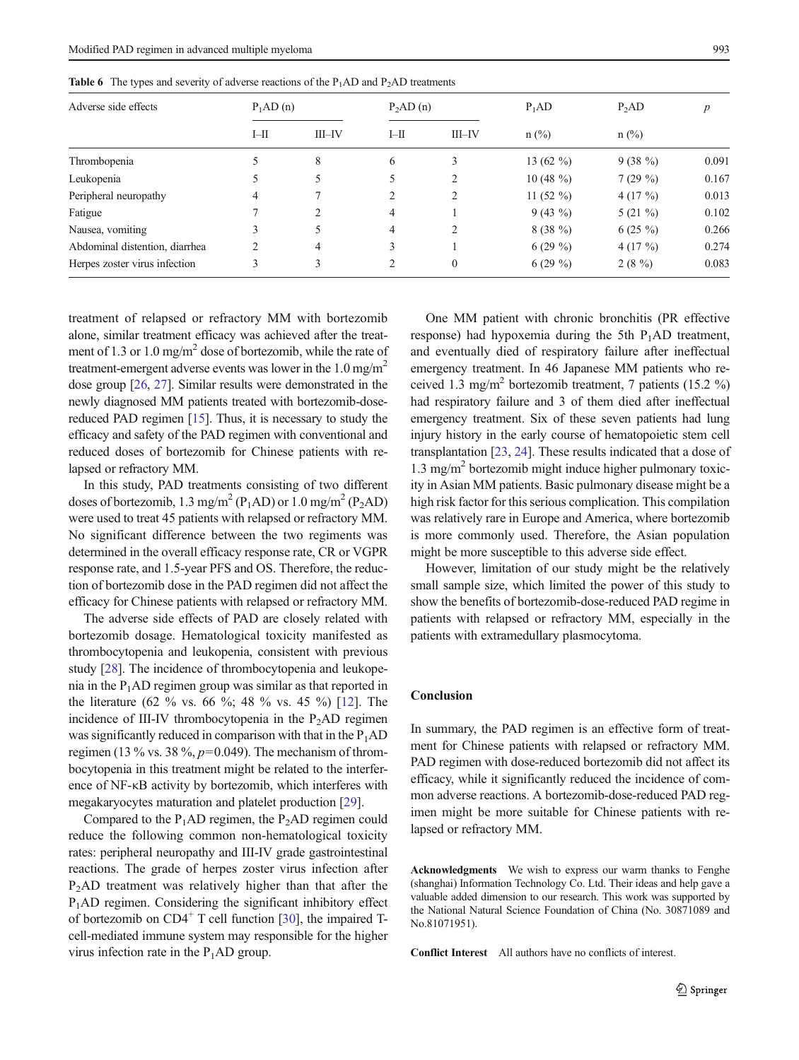| . .                            |                      |           |                      |           |              |           |       |
|--------------------------------|----------------------|-----------|----------------------|-----------|--------------|-----------|-------|
| Adverse side effects           | P <sub>1</sub> AD(n) |           | P <sub>2</sub> AD(n) |           | $P_1AD$      | $P_2AD$   | р     |
|                                | $I-H$                | $III$ -IV | $I-H$                | $III$ -IV | $n$ (%)      | $n$ (%)   |       |
| Thrombopenia                   |                      | 8         | 6                    | 3         | 13 $(62\%$   | $9(38\%)$ | 0.091 |
| Leukopenia                     |                      |           | 5                    |           | 10 $(48\%$   | 7(29%)    | 0.167 |
| Peripheral neuropathy          | 4                    |           | $\overline{2}$       |           | 11 $(52 \%)$ | $4(17\%)$ | 0.013 |
| Fatigue                        |                      | 2         | 4                    |           | $9(43\%)$    | $5(21\%)$ | 0.102 |
| Nausea, vomiting               |                      | 5         | 4                    |           | $8(38\%)$    | $6(25\%)$ | 0.266 |
| Abdominal distention, diarrhea |                      | 4         | 3                    |           | $6(29\%)$    | $4(17\%)$ | 0.274 |
| Herpes zoster virus infection  |                      |           | $\overline{c}$       | $\theta$  | $6(29\%)$    | $2(8\%)$  | 0.083 |

<span id="page-6-0"></span>**Table 6** The types and severity of adverse reactions of the  $P_1AD$  and  $P_2AD$  treatments

treatment of relapsed or refractory MM with bortezomib alone, similar treatment efficacy was achieved after the treatment of 1.3 or 1.0 mg/m<sup>2</sup> dose of bortezomib, while the rate of treatment-emergent adverse events was lower in the  $1.0 \text{ mg/m}^2$ dose group [\[26,](#page-7-0) [27\]](#page-7-0). Similar results were demonstrated in the newly diagnosed MM patients treated with bortezomib-dosereduced PAD regimen [\[15\]](#page-7-0). Thus, it is necessary to study the efficacy and safety of the PAD regimen with conventional and reduced doses of bortezomib for Chinese patients with relapsed or refractory MM.

In this study, PAD treatments consisting of two different doses of bortezomib, 1.3 mg/m<sup>2</sup> (P<sub>1</sub>AD) or 1.0 mg/m<sup>2</sup> (P<sub>2</sub>AD) were used to treat 45 patients with relapsed or refractory MM. No significant difference between the two regiments was determined in the overall efficacy response rate, CR or VGPR response rate, and 1.5-year PFS and OS. Therefore, the reduction of bortezomib dose in the PAD regimen did not affect the efficacy for Chinese patients with relapsed or refractory MM.

The adverse side effects of PAD are closely related with bortezomib dosage. Hematological toxicity manifested as thrombocytopenia and leukopenia, consistent with previous study [\[28\]](#page-8-0). The incidence of thrombocytopenia and leukopenia in the  $P_1AD$  regimen group was similar as that reported in the literature (62 % vs. 66 %; 48 % vs. 45 %) [\[12](#page-7-0)]. The incidence of III-IV thrombocytopenia in the  $P_2AD$  regimen was significantly reduced in comparison with that in the  $P_1AD$ regimen (13 % vs. 38 %,  $p=0.049$ ). The mechanism of thrombocytopenia in this treatment might be related to the interference of NF-κB activity by bortezomib, which interferes with megakaryocytes maturation and platelet production [\[29](#page-8-0)].

Compared to the  $P_1AD$  regimen, the  $P_2AD$  regimen could reduce the following common non-hematological toxicity rates: peripheral neuropathy and III-IV grade gastrointestinal reactions. The grade of herpes zoster virus infection after  $P<sub>2</sub>AD$  treatment was relatively higher than that after the P1AD regimen. Considering the significant inhibitory effect of bortezomib on  $CD4^+$  T cell function [[30](#page-8-0)], the impaired Tcell-mediated immune system may responsible for the higher virus infection rate in the  $P_1AD$  group.

One MM patient with chronic bronchitis (PR effective response) had hypoxemia during the 5th  $P_1AD$  treatment, and eventually died of respiratory failure after ineffectual emergency treatment. In 46 Japanese MM patients who received 1.3 mg/m<sup>2</sup> bortezomib treatment, 7 patients (15.2 %) had respiratory failure and 3 of them died after ineffectual emergency treatment. Six of these seven patients had lung injury history in the early course of hematopoietic stem cell transplantation [[23,](#page-7-0) [24](#page-7-0)]. These results indicated that a dose of  $1.3 \text{ mg/m}^2$  bortezomib might induce higher pulmonary toxicity in Asian MM patients. Basic pulmonary disease might be a high risk factor for this serious complication. This compilation was relatively rare in Europe and America, where bortezomib is more commonly used. Therefore, the Asian population might be more susceptible to this adverse side effect.

However, limitation of our study might be the relatively small sample size, which limited the power of this study to show the benefits of bortezomib-dose-reduced PAD regime in patients with relapsed or refractory MM, especially in the patients with extramedullary plasmocytoma.

#### **Conclusion**

In summary, the PAD regimen is an effective form of treatment for Chinese patients with relapsed or refractory MM. PAD regimen with dose-reduced bortezomib did not affect its efficacy, while it significantly reduced the incidence of common adverse reactions. A bortezomib-dose-reduced PAD regimen might be more suitable for Chinese patients with relapsed or refractory MM.

Acknowledgments We wish to express our warm thanks to Fenghe (shanghai) Information Technology Co. Ltd. Their ideas and help gave a valuable added dimension to our research. This work was supported by the National Natural Science Foundation of China (No. 30871089 and No.81071951).

Conflict Interest All authors have no conflicts of interest.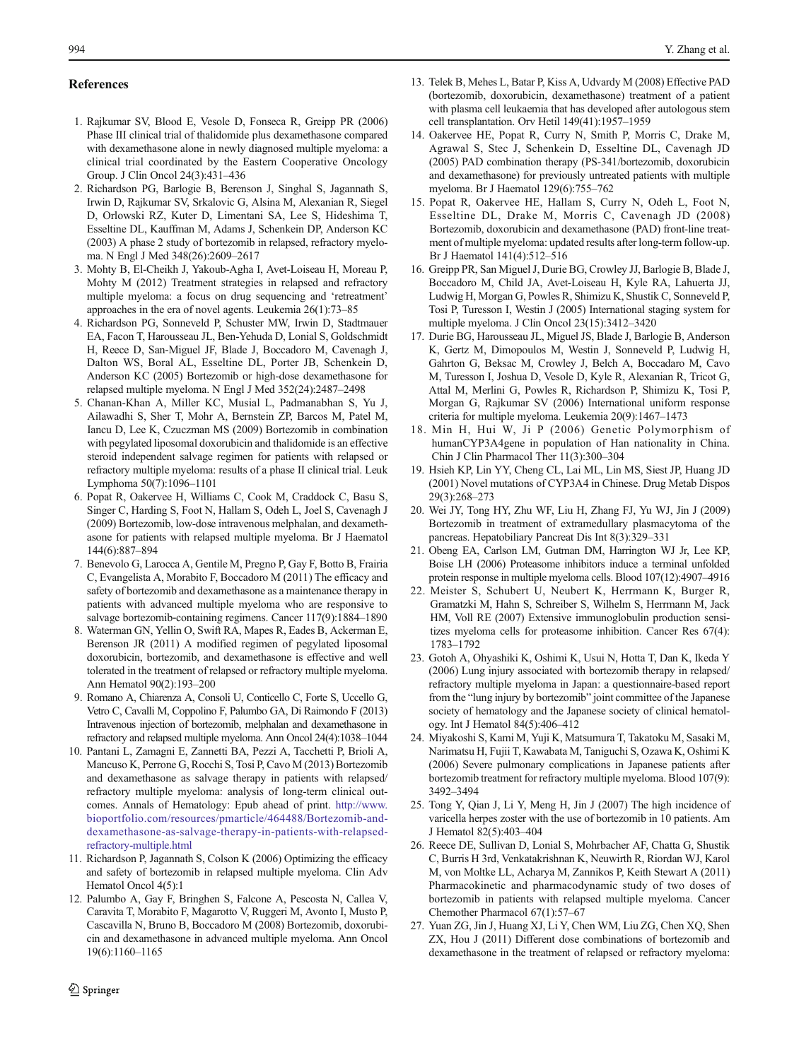## <span id="page-7-0"></span>References

- 1. Rajkumar SV, Blood E, Vesole D, Fonseca R, Greipp PR (2006) Phase III clinical trial of thalidomide plus dexamethasone compared with dexamethasone alone in newly diagnosed multiple myeloma: a clinical trial coordinated by the Eastern Cooperative Oncology Group. J Clin Oncol 24(3):431–436
- 2. Richardson PG, Barlogie B, Berenson J, Singhal S, Jagannath S, Irwin D, Rajkumar SV, Srkalovic G, Alsina M, Alexanian R, Siegel D, Orlowski RZ, Kuter D, Limentani SA, Lee S, Hideshima T, Esseltine DL, Kauffman M, Adams J, Schenkein DP, Anderson KC (2003) A phase 2 study of bortezomib in relapsed, refractory myeloma. N Engl J Med 348(26):2609–2617
- 3. Mohty B, El-Cheikh J, Yakoub-Agha I, Avet-Loiseau H, Moreau P, Mohty M (2012) Treatment strategies in relapsed and refractory multiple myeloma: a focus on drug sequencing and 'retreatment' approaches in the era of novel agents. Leukemia 26(1):73–85
- 4. Richardson PG, Sonneveld P, Schuster MW, Irwin D, Stadtmauer EA, Facon T, Harousseau JL, Ben-Yehuda D, Lonial S, Goldschmidt H, Reece D, San-Miguel JF, Blade J, Boccadoro M, Cavenagh J, Dalton WS, Boral AL, Esseltine DL, Porter JB, Schenkein D, Anderson KC (2005) Bortezomib or high-dose dexamethasone for relapsed multiple myeloma. N Engl J Med 352(24):2487–2498
- 5. Chanan-Khan A, Miller KC, Musial L, Padmanabhan S, Yu J, Ailawadhi S, Sher T, Mohr A, Bernstein ZP, Barcos M, Patel M, Iancu D, Lee K, Czuczman MS (2009) Bortezomib in combination with pegylated liposomal doxorubicin and thalidomide is an effective steroid independent salvage regimen for patients with relapsed or refractory multiple myeloma: results of a phase II clinical trial. Leuk Lymphoma 50(7):1096–1101
- 6. Popat R, Oakervee H, Williams C, Cook M, Craddock C, Basu S, Singer C, Harding S, Foot N, Hallam S, Odeh L, Joel S, Cavenagh J (2009) Bortezomib, low-dose intravenous melphalan, and dexamethasone for patients with relapsed multiple myeloma. Br J Haematol 144(6):887–894
- 7. Benevolo G, Larocca A, Gentile M, Pregno P, Gay F, Botto B, Frairia C, Evangelista A, Morabito F, Boccadoro M (2011) The efficacy and safety of bortezomib and dexamethasone as a maintenance therapy in patients with advanced multiple myeloma who are responsive to salvage bortezomib-containing regimens. Cancer 117(9):1884–1890
- 8. Waterman GN, Yellin O, Swift RA, Mapes R, Eades B, Ackerman E, Berenson JR (2011) A modified regimen of pegylated liposomal doxorubicin, bortezomib, and dexamethasone is effective and well tolerated in the treatment of relapsed or refractory multiple myeloma. Ann Hematol 90(2):193–200
- 9. Romano A, Chiarenza A, Consoli U, Conticello C, Forte S, Uccello G, Vetro C, Cavalli M, Coppolino F, Palumbo GA, Di Raimondo F (2013) Intravenous injection of bortezomib, melphalan and dexamethasone in refractory and relapsed multiple myeloma. Ann Oncol 24(4):1038–1044
- 10. Pantani L, Zamagni E, Zannetti BA, Pezzi A, Tacchetti P, Brioli A, Mancuso K, Perrone G, Rocchi S, Tosi P, Cavo M (2013) Bortezomib and dexamethasone as salvage therapy in patients with relapsed/ refractory multiple myeloma: analysis of long-term clinical outcomes. Annals of Hematology: Epub ahead of print. [http://www.](http://www.bioportfolio.com/resources/pmarticle/464488/Bortezomib-and-dexamethasone-as-salvage-therapy-in-patients-with-relapsed-refractory-multiple.html) [bioportfolio.com/resources/pmarticle/464488/Bortezomib-and](http://www.bioportfolio.com/resources/pmarticle/464488/Bortezomib-and-dexamethasone-as-salvage-therapy-in-patients-with-relapsed-refractory-multiple.html)[dexamethasone-as-salvage-therapy-in-patients-with-relapsed](http://www.bioportfolio.com/resources/pmarticle/464488/Bortezomib-and-dexamethasone-as-salvage-therapy-in-patients-with-relapsed-refractory-multiple.html)[refractory-multiple.html](http://www.bioportfolio.com/resources/pmarticle/464488/Bortezomib-and-dexamethasone-as-salvage-therapy-in-patients-with-relapsed-refractory-multiple.html)
- 11. Richardson P, Jagannath S, Colson K (2006) Optimizing the efficacy and safety of bortezomib in relapsed multiple myeloma. Clin Adv Hematol Oncol 4(5):1
- 12. Palumbo A, Gay F, Bringhen S, Falcone A, Pescosta N, Callea V, Caravita T, Morabito F, Magarotto V, Ruggeri M, Avonto I, Musto P, Cascavilla N, Bruno B, Boccadoro M (2008) Bortezomib, doxorubicin and dexamethasone in advanced multiple myeloma. Ann Oncol 19(6):1160–1165
- 13. Telek B, Mehes L, Batar P, Kiss A, Udvardy M (2008) Effective PAD (bortezomib, doxorubicin, dexamethasone) treatment of a patient with plasma cell leukaemia that has developed after autologous stem cell transplantation. Orv Hetil 149(41):1957–1959
- 14. Oakervee HE, Popat R, Curry N, Smith P, Morris C, Drake M, Agrawal S, Stec J, Schenkein D, Esseltine DL, Cavenagh JD (2005) PAD combination therapy (PS-341/bortezomib, doxorubicin and dexamethasone) for previously untreated patients with multiple myeloma. Br J Haematol 129(6):755–762
- 15. Popat R, Oakervee HE, Hallam S, Curry N, Odeh L, Foot N, Esseltine DL, Drake M, Morris C, Cavenagh JD (2008) Bortezomib, doxorubicin and dexamethasone (PAD) front-line treatment of multiple myeloma: updated results after long-term follow-up. Br J Haematol 141(4):512–516
- 16. Greipp PR, San Miguel J, Durie BG, Crowley JJ, Barlogie B, Blade J, Boccadoro M, Child JA, Avet-Loiseau H, Kyle RA, Lahuerta JJ, Ludwig H, Morgan G, Powles R, Shimizu K, Shustik C, Sonneveld P, Tosi P, Turesson I, Westin J (2005) International staging system for multiple myeloma. J Clin Oncol 23(15):3412–3420
- 17. Durie BG, Harousseau JL, Miguel JS, Blade J, Barlogie B, Anderson K, Gertz M, Dimopoulos M, Westin J, Sonneveld P, Ludwig H, Gahrton G, Beksac M, Crowley J, Belch A, Boccadaro M, Cavo M, Turesson I, Joshua D, Vesole D, Kyle R, Alexanian R, Tricot G, Attal M, Merlini G, Powles R, Richardson P, Shimizu K, Tosi P, Morgan G, Rajkumar SV (2006) International uniform response criteria for multiple myeloma. Leukemia 20(9):1467–1473
- 18. Min H, Hui W, Ji P (2006) Genetic Polymorphism of humanCYP3A4gene in population of Han nationality in China. Chin J Clin Pharmacol Ther 11(3):300–304
- 19. Hsieh KP, Lin YY, Cheng CL, Lai ML, Lin MS, Siest JP, Huang JD (2001) Novel mutations of CYP3A4 in Chinese. Drug Metab Dispos 29(3):268–273
- 20. Wei JY, Tong HY, Zhu WF, Liu H, Zhang FJ, Yu WJ, Jin J (2009) Bortezomib in treatment of extramedullary plasmacytoma of the pancreas. Hepatobiliary Pancreat Dis Int 8(3):329–331
- 21. Obeng EA, Carlson LM, Gutman DM, Harrington WJ Jr, Lee KP, Boise LH (2006) Proteasome inhibitors induce a terminal unfolded protein response in multiple myeloma cells. Blood 107(12):4907–4916
- 22. Meister S, Schubert U, Neubert K, Herrmann K, Burger R, Gramatzki M, Hahn S, Schreiber S, Wilhelm S, Herrmann M, Jack HM, Voll RE (2007) Extensive immunoglobulin production sensitizes myeloma cells for proteasome inhibition. Cancer Res 67(4): 1783–1792
- 23. Gotoh A, Ohyashiki K, Oshimi K, Usui N, Hotta T, Dan K, Ikeda Y (2006) Lung injury associated with bortezomib therapy in relapsed/ refractory multiple myeloma in Japan: a questionnaire-based report from the "lung injury by bortezomib" joint committee of the Japanese society of hematology and the Japanese society of clinical hematology. Int J Hematol 84(5):406–412
- 24. Miyakoshi S, Kami M, Yuji K, Matsumura T, Takatoku M, Sasaki M, Narimatsu H, Fujii T, Kawabata M, Taniguchi S, Ozawa K, Oshimi K (2006) Severe pulmonary complications in Japanese patients after bortezomib treatment for refractory multiple myeloma. Blood 107(9): 3492–3494
- 25. Tong Y, Qian J, Li Y, Meng H, Jin J (2007) The high incidence of varicella herpes zoster with the use of bortezomib in 10 patients. Am J Hematol 82(5):403–404
- 26. Reece DE, Sullivan D, Lonial S, Mohrbacher AF, Chatta G, Shustik C, Burris H 3rd, Venkatakrishnan K, Neuwirth R, Riordan WJ, Karol M, von Moltke LL, Acharya M, Zannikos P, Keith Stewart A (2011) Pharmacokinetic and pharmacodynamic study of two doses of bortezomib in patients with relapsed multiple myeloma. Cancer Chemother Pharmacol 67(1):57–67
- 27. Yuan ZG, Jin J, Huang XJ, Li Y, Chen WM, Liu ZG, Chen XQ, Shen ZX, Hou J (2011) Different dose combinations of bortezomib and dexamethasone in the treatment of relapsed or refractory myeloma: